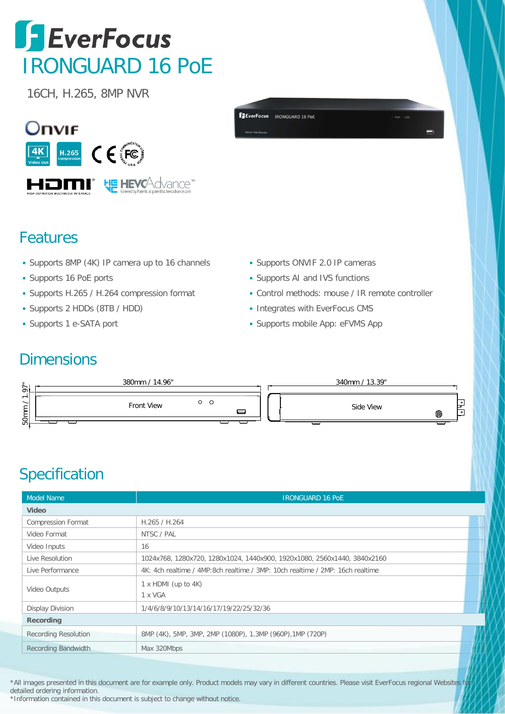## **SEverFocus** IRONGUARD 16 PoE

16CH, H.265, 8MP NVR





## Features

- Supports 8MP (4K) IP camera up to 16 channels
- Supports 16 PoE ports
- Supports H.265 / H.264 compression format
- Supports 2 HDDs (8TB / HDD)
- Supports 1 e-SATA port
- Supports ONVIF 2.0 IP cameras
- Supports AI and IVS functions
- Control methods: mouse / IR remote controller
- Integrates with EverFocus CMS
- Supports mobile App: eFVMS App

## **Dimensions**



## **Specification**

| <b>Model Name</b>           | <b>IRONGUARD 16 POE</b>                                                       |
|-----------------------------|-------------------------------------------------------------------------------|
| <b>Video</b>                |                                                                               |
| <b>Compression Format</b>   | H.265 / H.264                                                                 |
| Video Format                | NTSC / PAL                                                                    |
| Video Inputs                | 16                                                                            |
| Live Resolution             | 1024x768, 1280x720, 1280x1024, 1440x900, 1920x1080, 2560x1440, 3840x2160      |
| Live Performance            | 4K: 4ch realtime / 4MP:8ch realtime / 3MP: 10ch realtime / 2MP: 16ch realtime |
| Video Outputs               | $1 \times$ HDMI (up to 4K)<br>1 x VGA                                         |
| <b>Display Division</b>     | 1/4/6/8/9/10/13/14/16/17/19/22/25/32/36                                       |
| Recording                   |                                                                               |
| <b>Recording Resolution</b> | 8MP (4K), 5MP, 3MP, 2MP (1080P), 1.3MP (960P), 1MP (720P)                     |
| <b>Recording Bandwidth</b>  | Max 320Mbps                                                                   |

\*All images presented in this document are for example only. Product models may vary in different countries. Please visit EverFocus regional Websites for detailed ordering information. \*Information contained in this document is subject to change without notice.